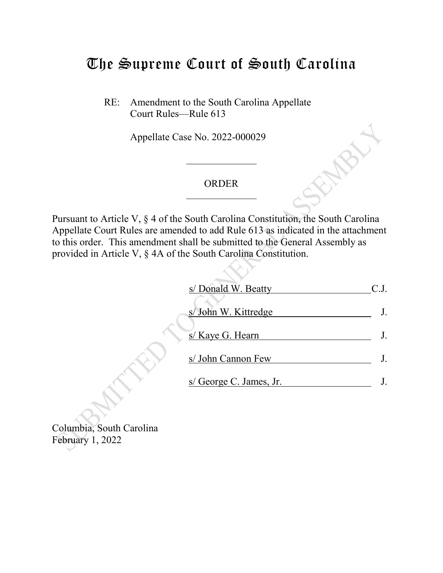## The Supreme Court of South Carolina

RE: Amendment to the South Carolina Appellate Court Rules—Rule 613

Appellate Case No. 2022-000029

## ORDER

Pursuant to Article V, § 4 of the South Carolina Constitution, the South Carolina Appellate Court Rules are amended to add Rule 613 as indicated in the attachment to this order. This amendment shall be submitted to the General Assembly as provided in Article V, § 4A of the South Carolina Constitution.

| s/ Donald W. Beatty     |  |
|-------------------------|--|
| s/ John W. Kittredge    |  |
| s/ Kaye G. Hearn        |  |
| s/ John Cannon Few      |  |
| s/ George C. James, Jr. |  |
|                         |  |

Columbia, South Carolina February 1, 2022